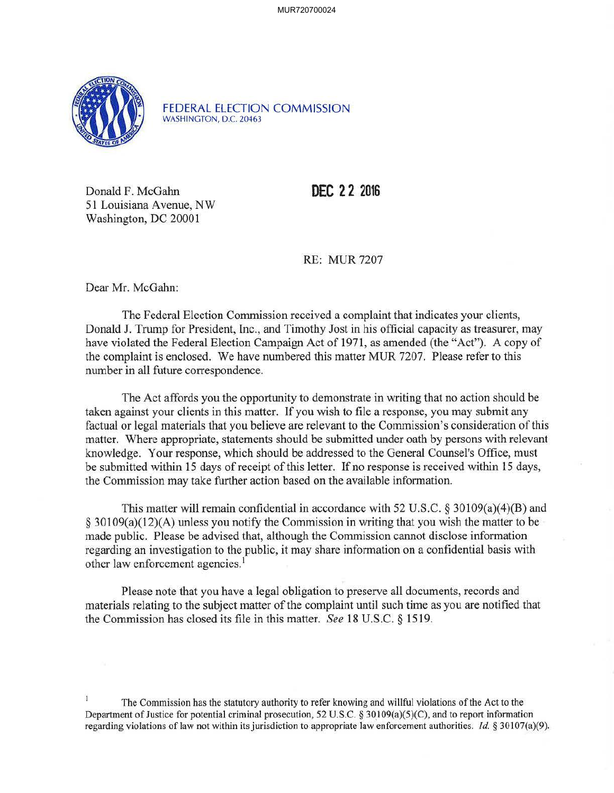MUR720700024



FEDERAL ELECTION COMMISSION WASHINGTON, D.C. 20463

Donald F. McGahn 51 Louisiana A venue, NW Washington, DC 20001

**DEC 2 2 2016** 

## RE: MUR 7207

Dear Mr. McGahn:

The Federal Election Commission received a complaint that indicates your clients, Donald J. Trump for President, Inc., and Timothy Jost in his official capacity as treasurer, may have violated the Federal Election Campaign Act of 1971, as amended (the "Act"). A copy of the complaint is enclosed. We have numbered this matter MUR 7207. Please refer to this number in all future correspondence.

The Act affords you the opportunity to demonstrate in writing that no action should be taken against your clients in this matter. If you wish to file a response, you may submit any factual or legal materials that you believe are relevant to the Commission's consideration of this matter. Where appropriate, statements should be submitted under oath by persons with relevant knowledge. Your response, which should be addressed to the General Counsel's Office, must be submitted within 15 days of receipt of this letter. If no response is received within 15 days, the Commission may take further action based on the available information.

This matter will remain confidential in accordance with 52 U.S.C.  $\S 30109(a)(4)(B)$  and  $§ 30109(a)(12)(A)$  unless you notify the Commission in writing that you wish the matter to be made public. Please be advised that, although the Commission cannot disclose information regarding an investigation to the public, it may share information on a confidential basis with other law enforcement agencies.<sup>1</sup>

Please note that you have a legal obligation to preserve all documents, records and materials relating to the subject matter of the complaint until such time as you are notified that the Commission has closed its file in this matter. *See* 18 U.S.C. § 1519.

The Commission has the statutory authority to refer knowing and willful violations of the Act to the Department of Justice for potential criminal prosecution, 52 U.S.C. § 30109(a)(5)(C), and to report information regarding violations of law not within its jurisdiction to appropriate law enforcement authorities. *Id. §* 30107(a)(9).